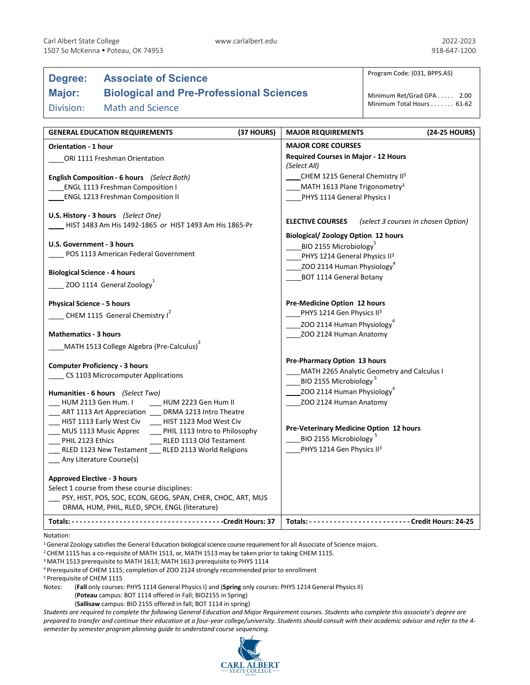Division: Math and Science

# **Degree: Associate of Science**

## **Major: Biological and Pre-Professional Sciences**

Program Code: (031, BPPS.AS)

Minimum Ret/Grad GPA . . . . . 2.00 Minimum Total Hours . . . . . . . 61-62

| (37 HOURS)<br><b>GENERAL EDUCATION REQUIREMENTS</b>                                                 | (24-25 HOURS)<br><b>MAJOR REQUIREMENTS</b>                                       |
|-----------------------------------------------------------------------------------------------------|----------------------------------------------------------------------------------|
| <b>Orientation - 1 hour</b>                                                                         | <b>MAJOR CORE COURSES</b>                                                        |
| ORI 1111 Freshman Orientation                                                                       | <b>Required Courses in Major - 12 Hours</b><br>(Select All)                      |
| English Composition - 6 hours (Select Both)                                                         | CHEM 1215 General Chemistry II <sup>5</sup>                                      |
| <b>ENGL 1113 Freshman Composition I</b>                                                             | MATH 1613 Plane Trigonometry <sup>3</sup>                                        |
| <b>ENGL 1213 Freshman Composition II</b>                                                            | PHYS 1114 General Physics I                                                      |
| U.S. History - 3 hours (Select One)<br>HIST 1483 Am His 1492-1865 or HIST 1493 Am His 1865-Pr       | <b>ELECTIVE COURSES</b><br>(select 3 courses in chosen Option)                   |
| U.S. Government - 3 hours                                                                           | <b>Biological/ Zoology Option 12 hours</b><br>BIO 2155 Microbiology <sup>5</sup> |
| POS 1113 American Federal Government                                                                | PHYS 1214 General Physics II <sup>3</sup>                                        |
| <b>Biological Science - 4 hours</b>                                                                 | $\_$ ZOO 2114 Human Physiology $^4$<br><b>BOT 1114 General Botany</b>            |
| $\sim$ ZOO 1114 General Zoology                                                                     |                                                                                  |
| <b>Physical Science - 5 hours</b>                                                                   | Pre-Medicine Option 12 hours                                                     |
| $\sim$ CHEM 1115 General Chemistry I <sup>2</sup>                                                   | PHYS 1214 Gen Physics II3                                                        |
|                                                                                                     | ZOO 2114 Human Physiology <sup>4</sup>                                           |
| <b>Mathematics - 3 hours</b>                                                                        | ZOO 2124 Human Anatomy                                                           |
| MATH 1513 College Algebra (Pre-Calculus) <sup>3</sup>                                               |                                                                                  |
| <b>Computer Proficiency - 3 hours</b>                                                               | Pre-Pharmacy Option 13 hours                                                     |
| CS 1103 Microcomputer Applications                                                                  | MATH 2265 Analytic Geometry and Calculus I                                       |
|                                                                                                     | BIO 2155 Microbiology <sup>5</sup>                                               |
| Humanities - 6 hours (Select Two)                                                                   | ZOO 2114 Human Physiology <sup>4</sup>                                           |
| HUM 2113 Gen Hum. I<br>HUM 2223 Gen Hum II<br>_ART 1113 Art Appreciation __ DRMA 1213 Intro Theatre | ZOO 2124 Human Anatomy                                                           |
| __ HIST 1113 Early West Civ __ HIST 1123 Mod West Civ                                               |                                                                                  |
| __ MUS 1113 Music Apprec<br>__ PHIL 1113 Intro to Philosophy                                        | Pre-Veterinary Medicine Option 12 hours                                          |
| PHIL 2123 Ethics<br>RLED 1113 Old Testament                                                         | BIO 2155 Microbiology <sup>5</sup>                                               |
| RLED 1123 New Testament RLED 2113 World Religions                                                   | PHYS 1214 Gen Physics II3                                                        |
| Any Literature Course(s)                                                                            |                                                                                  |
| <b>Approved Elective - 3 hours</b>                                                                  |                                                                                  |
| Select 1 course from these course disciplines:                                                      |                                                                                  |
| PSY, HIST, POS, SOC, ECON, GEOG, SPAN, CHER, CHOC, ART, MUS                                         |                                                                                  |
| DRMA, HUM, PHIL, RLED, SPCH, ENGL (literature)                                                      |                                                                                  |
|                                                                                                     |                                                                                  |

Notation:

<sup>1</sup> General Zoology satisfies the General Education biological science course requirement for all Associate of Science majors.

<sup>2</sup> CHEM 1115 has a co-requisite of MATH 1513, or, MATH 1513 may be taken prior to taking CHEM 1115.

<sup>3</sup> MATH 1513 prerequisite to MATH 1613; MATH 1613 prerequisite to PHYS 1114

<sup>4</sup> Prerequisite of CHEM 1115; completion of ZOO 2124 strongly recommended prior to enrollment

<sup>5</sup> Prerequisite of CHEM 1115

Notes: (**Fall** only courses: PHYS 1114 General PhysicsI) and (**Spring** only courses: PHYS 1214 General PhysicsII) (**Poteau** campus: BOT 1114 offered in Fall; BIO2155 in Spring)

(**Sallisaw** campus: BIO 2155 offered in fall; BOT 1114 in spring)

*Students are required to complete the following General Education and Major Requirement courses. Students who complete this associate's degree are prepared to transfer and continue their education at a four-year college/university. Students should consult with their academic advisor and refer to the 4 semester by semester program planning guide to understand course sequencing.*